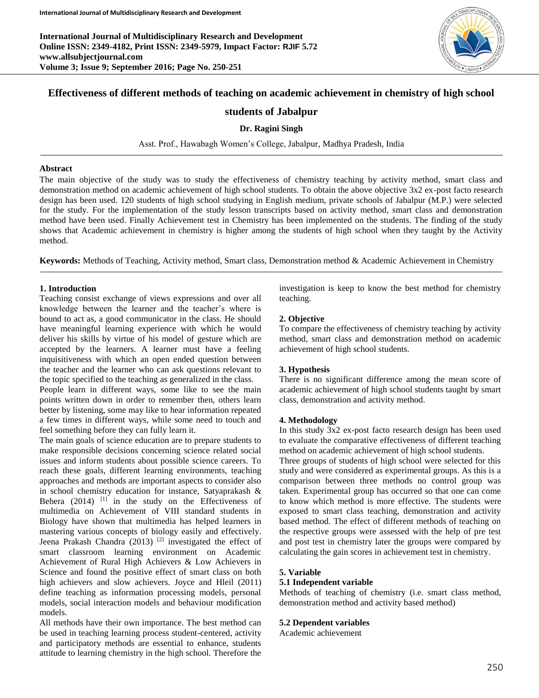**International Journal of Multidisciplinary Research and Development Online ISSN: 2349-4182, Print ISSN: 2349-5979, Impact Factor: RJIF 5.72 www.allsubjectjournal.com Volume 3; Issue 9; September 2016; Page No. 250-251**



# **Effectiveness of different methods of teaching on academic achievement in chemistry of high school**

## **students of Jabalpur**

## **Dr. Ragini Singh**

Asst. Prof., Hawabagh Women's College, Jabalpur, Madhya Pradesh, India

#### **Abstract**

The main objective of the study was to study the effectiveness of chemistry teaching by activity method, smart class and demonstration method on academic achievement of high school students. To obtain the above objective 3x2 ex-post facto research design has been used. 120 students of high school studying in English medium, private schools of Jabalpur (M.P.) were selected for the study. For the implementation of the study lesson transcripts based on activity method, smart class and demonstration method have been used. Finally Achievement test in Chemistry has been implemented on the students. The finding of the study shows that Academic achievement in chemistry is higher among the students of high school when they taught by the Activity method.

**Keywords:** Methods of Teaching, Activity method, Smart class, Demonstration method & Academic Achievement in Chemistry

## **1. Introduction**

Teaching consist exchange of views expressions and over all knowledge between the learner and the teacher's where is bound to act as, a good communicator in the class. He should have meaningful learning experience with which he would deliver his skills by virtue of his model of gesture which are accepted by the learners. A learner must have a feeling inquisitiveness with which an open ended question between the teacher and the learner who can ask questions relevant to the topic specified to the teaching as generalized in the class.

People learn in different ways, some like to see the main points written down in order to remember then, others learn better by listening, some may like to hear information repeated a few times in different ways, while some need to touch and feel something before they can fully learn it.

The main goals of science education are to prepare students to make responsible decisions concerning science related social issues and inform students about possible science careers. To reach these goals, different learning environments, teaching approaches and methods are important aspects to consider also in school chemistry education for instance, Satyaprakash & Behera  $(2014)$  <sup>[1]</sup> in the study on the Effectiveness of multimedia on Achievement of VIII standard students in Biology have shown that multimedia has helped learners in mastering various concepts of biology easily and effectively. Jeena Prakash Chandra (2013)<sup>[2]</sup> investigated the effect of smart classroom learning environment on Academic Achievement of Rural High Achievers & Low Achievers in Science and found the positive effect of smart class on both high achievers and slow achievers. Joyce and Hleil (2011) define teaching as information processing models, personal models, social interaction models and behaviour modification models.

All methods have their own importance. The best method can be used in teaching learning process student-centered, activity and participatory methods are essential to enhance, students attitude to learning chemistry in the high school. Therefore the

investigation is keep to know the best method for chemistry teaching.

### **2. Objective**

To compare the effectiveness of chemistry teaching by activity method, smart class and demonstration method on academic achievement of high school students.

### **3. Hypothesis**

There is no significant difference among the mean score of academic achievement of high school students taught by smart class, demonstration and activity method.

### **4. Methodology**

In this study 3x2 ex-post facto research design has been used to evaluate the comparative effectiveness of different teaching method on academic achievement of high school students.

Three groups of students of high school were selected for this study and were considered as experimental groups. As this is a comparison between three methods no control group was taken. Experimental group has occurred so that one can come to know which method is more effective. The students were exposed to smart class teaching, demonstration and activity based method. The effect of different methods of teaching on the respective groups were assessed with the help of pre test and post test in chemistry later the groups were compared by calculating the gain scores in achievement test in chemistry.

### **5. Variable**

### **5.1 Independent variable**

Methods of teaching of chemistry (i.e. smart class method, demonstration method and activity based method)

#### **5.2 Dependent variables**

Academic achievement